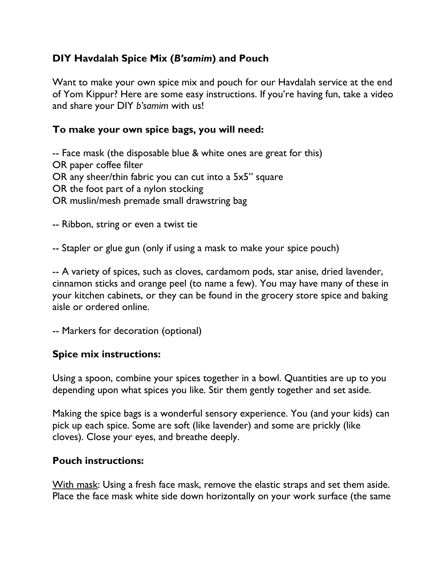# **DIY Havdalah Spice Mix (***B'samim***) and Pouch**

Want to make your own spice mix and pouch for our Havdalah service at the end of Yom Kippur? Here are some easy instructions. If you're having fun, take a video and share your DIY *b'samim* with us!

## **To make your own spice bags, you will need:**

-- Face mask (the disposable blue & white ones are great for this) OR paper coffee filter OR any sheer/thin fabric you can cut into a 5x5" square OR the foot part of a nylon stocking OR muslin/mesh premade small drawstring bag

-- Ribbon, string or even a twist tie

-- Stapler or glue gun (only if using a mask to make your spice pouch)

-- A variety of spices, such as cloves, cardamom pods, star anise, dried lavender, cinnamon sticks and orange peel (to name a few). You may have many of these in your kitchen cabinets, or they can be found in the grocery store spice and baking aisle or ordered online.

-- Markers for decoration (optional)

### **Spice mix instructions:**

Using a spoon, combine your spices together in a bowl. Quantities are up to you depending upon what spices you like. Stir them gently together and set aside.

Making the spice bags is a wonderful sensory experience. You (and your kids) can pick up each spice. Some are soft (like lavender) and some are prickly (like cloves). Close your eyes, and breathe deeply.

### **Pouch instructions:**

With mask: Using a fresh face mask, remove the elastic straps and set them aside. Place the face mask white side down horizontally on your work surface (the same